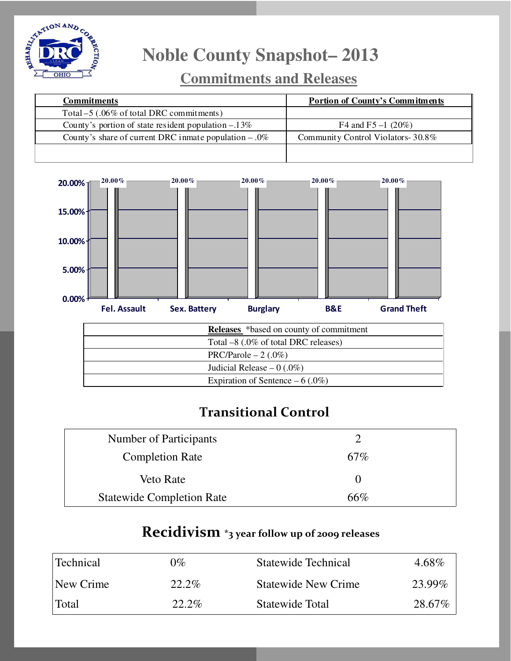

# **Noble County Snapshot– 2013**

### **Commitments and Releases**

| <b>Commitments</b>                                       | <b>Portion of County's Commitments</b> |
|----------------------------------------------------------|----------------------------------------|
| Total $-5$ (.06% of total DRC commitments)               |                                        |
| County's portion of state resident population $-.13\%$   | F4 and F5 $-1$ (20%)                   |
| County's share of current DRC in mate population $-.0\%$ | Community Control Violators-30.8%      |
|                                                          |                                        |



| <b>Releases</b> *based on county of commitment |
|------------------------------------------------|
| Total $-8$ (.0% of total DRC releases)         |
| PRC/Parole $-2(.0\%)$                          |
| Judicial Release $-0$ (.0%)                    |
| Expiration of Sentence $-6(.0\%)$              |

#### Transitional Control

| Number of Participants           |              |  |
|----------------------------------|--------------|--|
| <b>Completion Rate</b>           | 67%          |  |
| Veto Rate                        | $\mathbf{0}$ |  |
| <b>Statewide Completion Rate</b> | 66%          |  |

#### Recidivism \*3 year follow up of 2009 releases

| Technical | $0\%$ | Statewide Technical        | 4.68%   |
|-----------|-------|----------------------------|---------|
| New Crime | 22.2% | <b>Statewide New Crime</b> | 23.99%  |
| Total     | 22.2% | Statewide Total            | 28.67\% |